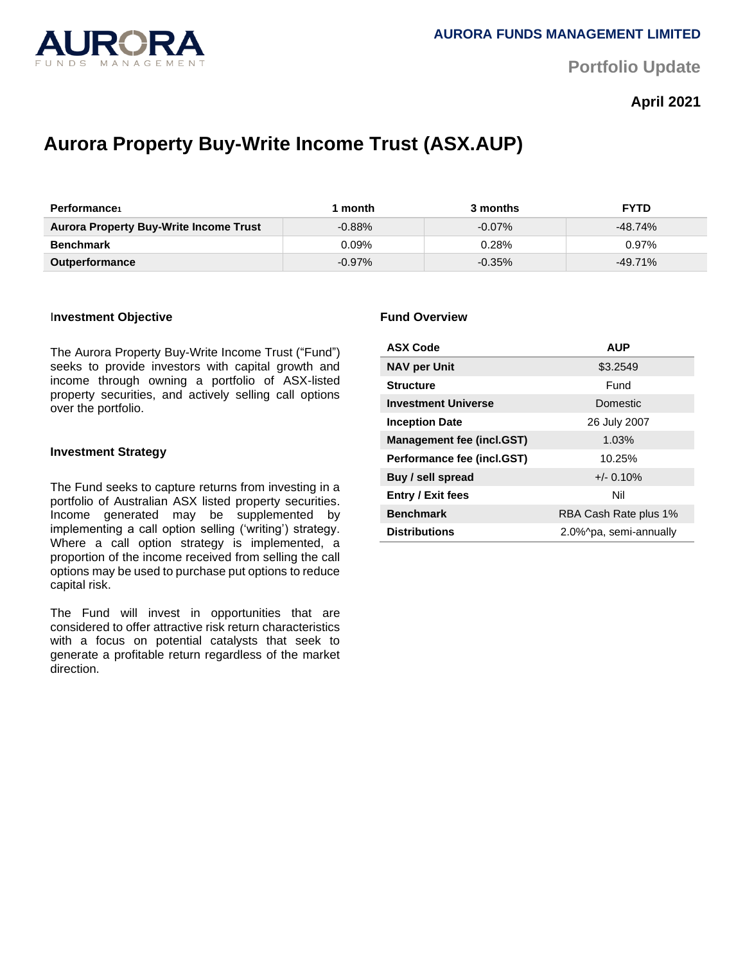

**Portfolio Update** 

## **April 2021**

# **Aurora Property Buy-Write Income Trust (ASX.AUP)**

| <b>Performance</b>                            | month     | 3 months  | <b>FYTD</b> |
|-----------------------------------------------|-----------|-----------|-------------|
| <b>Aurora Property Buy-Write Income Trust</b> | $-0.88%$  | $-0.07\%$ | $-48.74%$   |
| <b>Benchmark</b>                              | 0.09%     | 0.28%     | $0.97\%$    |
| <b>Outperformance</b>                         | $-0.97\%$ | $-0.35\%$ | $-49.71%$   |

## I**nvestment Objective**

The Aurora Property Buy-Write Income Trust ("Fund") seeks to provide investors with capital growth and income through owning a portfolio of ASX-listed property securities, and actively selling call options over the portfolio.

#### **Investment Strategy**

The Fund seeks to capture returns from investing in a portfolio of Australian ASX listed property securities. Income generated may be supplemented by implementing a call option selling ('writing') strategy. Where a call option strategy is implemented, a proportion of the income received from selling the call options may be used to purchase put options to reduce capital risk.

The Fund will invest in opportunities that are considered to offer attractive risk return characteristics with a focus on potential catalysts that seek to generate a profitable return regardless of the market direction.

#### **Fund Overview**

| <b>ASX Code</b>                  | <b>AUP</b>             |  |
|----------------------------------|------------------------|--|
| <b>NAV per Unit</b>              | \$3.2549               |  |
| <b>Structure</b>                 | Fund                   |  |
| <b>Investment Universe</b>       | Domestic               |  |
| <b>Inception Date</b>            | 26 July 2007           |  |
| <b>Management fee (incl.GST)</b> | 1.03%                  |  |
| Performance fee (incl.GST)       | 10.25%                 |  |
| Buy / sell spread                | $+/- 0.10%$            |  |
| <b>Entry / Exit fees</b>         | Nil                    |  |
| <b>Benchmark</b>                 | RBA Cash Rate plus 1%  |  |
| <b>Distributions</b>             | 2.0%^pa, semi-annually |  |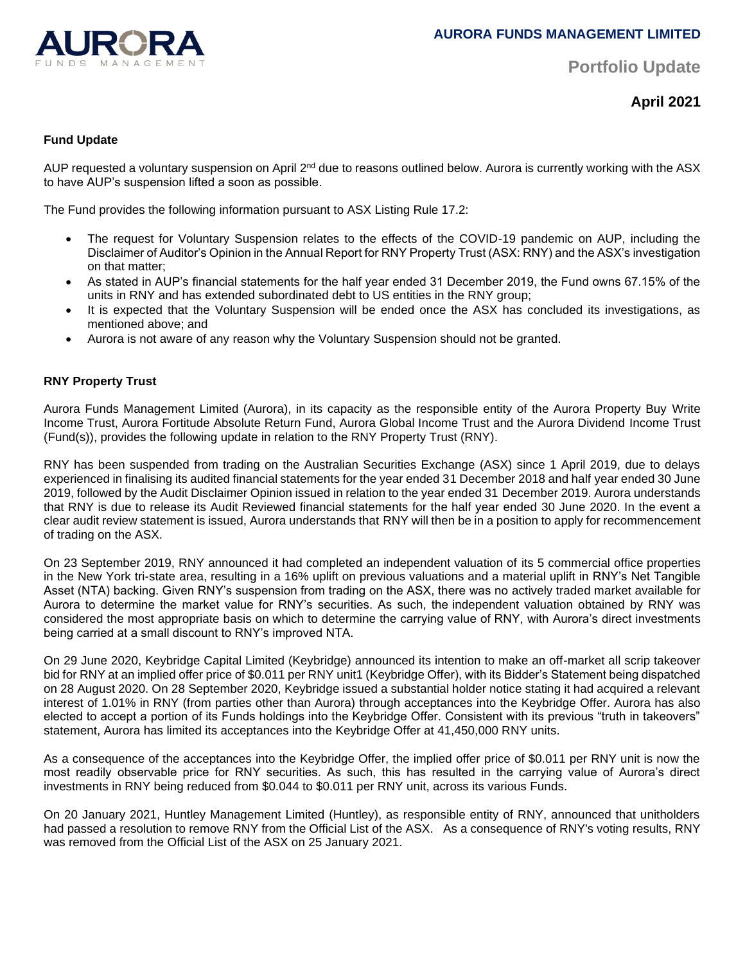

**Portfolio Update** 

**April 2021**

## **Fund Update**

AUP requested a voluntary suspension on April 2<sup>nd</sup> due to reasons outlined below. Aurora is currently working with the ASX to have AUP's suspension lifted a soon as possible.

The Fund provides the following information pursuant to ASX Listing Rule 17.2:

- The request for Voluntary Suspension relates to the effects of the COVID-19 pandemic on AUP, including the Disclaimer of Auditor's Opinion in the Annual Report for RNY Property Trust (ASX: RNY) and the ASX's investigation on that matter;
- As stated in AUP's financial statements for the half year ended 31 December 2019, the Fund owns 67.15% of the units in RNY and has extended subordinated debt to US entities in the RNY group;
- It is expected that the Voluntary Suspension will be ended once the ASX has concluded its investigations, as mentioned above; and
- Aurora is not aware of any reason why the Voluntary Suspension should not be granted.

## **RNY Property Trust**

Aurora Funds Management Limited (Aurora), in its capacity as the responsible entity of the Aurora Property Buy Write Income Trust, Aurora Fortitude Absolute Return Fund, Aurora Global Income Trust and the Aurora Dividend Income Trust (Fund(s)), provides the following update in relation to the RNY Property Trust (RNY).

RNY has been suspended from trading on the Australian Securities Exchange (ASX) since 1 April 2019, due to delays experienced in finalising its audited financial statements for the year ended 31 December 2018 and half year ended 30 June 2019, followed by the Audit Disclaimer Opinion issued in relation to the year ended 31 December 2019. Aurora understands that RNY is due to release its Audit Reviewed financial statements for the half year ended 30 June 2020. In the event a clear audit review statement is issued, Aurora understands that RNY will then be in a position to apply for recommencement of trading on the ASX.

On 23 September 2019, RNY announced it had completed an independent valuation of its 5 commercial office properties in the New York tri-state area, resulting in a 16% uplift on previous valuations and a material uplift in RNY's Net Tangible Asset (NTA) backing. Given RNY's suspension from trading on the ASX, there was no actively traded market available for Aurora to determine the market value for RNY's securities. As such, the independent valuation obtained by RNY was considered the most appropriate basis on which to determine the carrying value of RNY, with Aurora's direct investments being carried at a small discount to RNY's improved NTA.

On 29 June 2020, Keybridge Capital Limited (Keybridge) announced its intention to make an off-market all scrip takeover bid for RNY at an implied offer price of \$0.011 per RNY unit1 (Keybridge Offer), with its Bidder's Statement being dispatched on 28 August 2020. On 28 September 2020, Keybridge issued a substantial holder notice stating it had acquired a relevant interest of 1.01% in RNY (from parties other than Aurora) through acceptances into the Keybridge Offer. Aurora has also elected to accept a portion of its Funds holdings into the Keybridge Offer. Consistent with its previous "truth in takeovers" statement, Aurora has limited its acceptances into the Keybridge Offer at 41,450,000 RNY units.

As a consequence of the acceptances into the Keybridge Offer, the implied offer price of \$0.011 per RNY unit is now the most readily observable price for RNY securities. As such, this has resulted in the carrying value of Aurora's direct investments in RNY being reduced from \$0.044 to \$0.011 per RNY unit, across its various Funds.

On 20 January 2021, Huntley Management Limited (Huntley), as responsible entity of RNY, announced that unitholders had passed a resolution to remove RNY from the Official List of the ASX. As a consequence of RNY's voting results, RNY was removed from the Official List of the ASX on 25 January 2021.